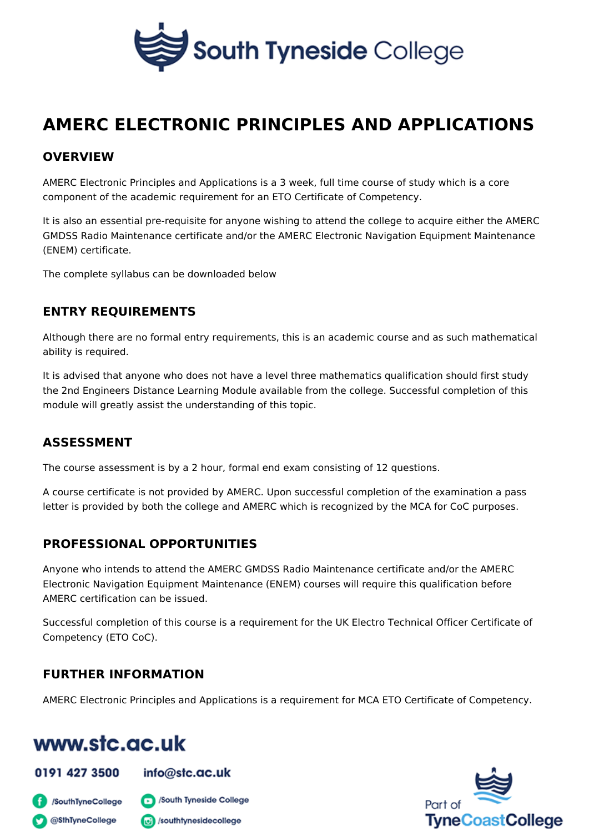# AMERC ELECTRONIC PRINCIPLES AND APPLIC

# OVERVIEW

AMERC Electronic Principles and Applications is a 3 week, full time course of st component of the academic requirement for an ETO Certificate of Competency.

It is also an essential pre-requisite for anyone wishing to attend the college to GMDSS Radio Maintenance certificate and/or the AMERC Electronic Navigation E (ENEM) certificate.

The complete syllabus can be downloaded below

#### ENTRY REQUIREMENTS

Although there are no formal entry requirements, this is an academic course and ability is required.

It is advised that anyone who does not have a level three mathematics qualification the 2nd Engineers Distance Learning Module available from the college. Success module will greatly assist the understanding of this topic.

# ASSESSMENT

The course assessment is by a 2 hour, formal end exam consisting of 12 questions.

A course certificate is not provided by AMERC. Upon successful completion of th letter is provided by both the college and AMERC which is recognized by the MC

# PROFESSIONAL OPPORTUNITIES

Anyone who intends to attend the AMERC GMDSS Radio Maintenance certificate Electronic Navigation Equipment Maintenance (ENEM) courses will require this q AMERC certification can be issued.

Successful completion of this course is a requirement for the UK Electro Technic Competency (ETO CoC).

# FURTHER INFORMATION

AMERC Electronic Principles and Applications is a requirement for MCA ETO Certicate of